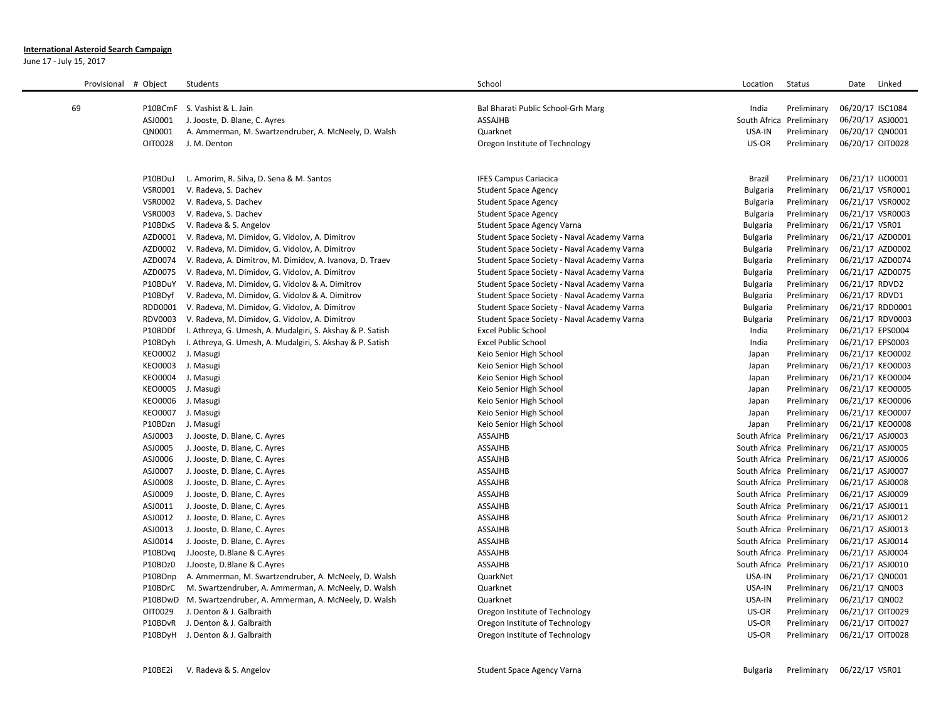## **International Asteroid Search Campaign**

June 17 - July 15, 2017

| Provisional # Object |                                        | Students                                                          | School                                             | Location                 | <b>Status</b>              | Date<br>Linked                       |
|----------------------|----------------------------------------|-------------------------------------------------------------------|----------------------------------------------------|--------------------------|----------------------------|--------------------------------------|
|                      |                                        |                                                                   |                                                    |                          |                            |                                      |
| 69                   |                                        | P10BCmF S. Vashist & L. Jain                                      | Bal Bharati Public School-Grh Marg                 | India                    | Preliminary                | 06/20/17 ISC1084                     |
|                      | ASJ0001                                | J. Jooste, D. Blane, C. Ayres                                     | ASSAJHB                                            | South Africa             | Preliminary                | 06/20/17 ASJ0001                     |
|                      | QN0001                                 | A. Ammerman, M. Swartzendruber, A. McNeely, D. Walsh              | Quarknet                                           | USA-IN                   | Preliminary                | 06/20/17 QN0001                      |
|                      | OIT0028                                | J. M. Denton                                                      | Oregon Institute of Technology                     | US-OR                    | Preliminary                | 06/20/17 OIT0028                     |
|                      |                                        |                                                                   |                                                    |                          |                            |                                      |
|                      |                                        |                                                                   |                                                    |                          |                            |                                      |
|                      | P10BDuJ                                | L. Amorim, R. Silva, D. Sena & M. Santos                          | <b>IFES Campus Cariacica</b>                       | Brazil                   | Preliminary                | 06/21/17 LIO0001                     |
|                      | VSR0001                                | V. Radeva, S. Dachev                                              | <b>Student Space Agency</b>                        | Bulgaria                 | Preliminary                | 06/21/17 VSR0001                     |
|                      | <b>VSR0002</b>                         | V. Radeva, S. Dachev                                              | <b>Student Space Agency</b>                        | Bulgaria                 | Preliminary                | 06/21/17 VSR0002                     |
|                      | <b>VSR0003</b>                         | V. Radeva, S. Dachev                                              | <b>Student Space Agency</b>                        | Bulgaria                 | Preliminary                | 06/21/17 VSR0003                     |
|                      | P10BDxS                                | V. Radeva & S. Angelov                                            | Student Space Agency Varna                         | Bulgaria                 | Preliminary                | 06/21/17 VSR01                       |
|                      | AZD0001                                | V. Radeva, M. Dimidov, G. Vidolov, A. Dimitrov                    | Student Space Society - Naval Academy Varna        | Bulgaria                 | Preliminary                | 06/21/17 AZD0001                     |
|                      |                                        | AZD0002 V. Radeva, M. Dimidov, G. Vidolov, A. Dimitrov            | Student Space Society - Naval Academy Varna        | Bulgaria                 | Preliminary                | 06/21/17 AZD0002                     |
|                      | AZD0074                                | V. Radeva, A. Dimitrov, M. Dimidov, A. Ivanova, D. Traev          | Student Space Society - Naval Academy Varna        | Bulgaria                 | Preliminary                | 06/21/17 AZD0074                     |
|                      | AZD0075                                | V. Radeva, M. Dimidov, G. Vidolov, A. Dimitrov                    | Student Space Society - Naval Academy Varna        | <b>Bulgaria</b>          | Preliminary                | 06/21/17 AZD0075                     |
|                      | P10BDuY                                | V. Radeva, M. Dimidov, G. Vidolov & A. Dimitrov                   | Student Space Society - Naval Academy Varna        | <b>Bulgaria</b>          | Preliminary                | 06/21/17 RDVD2                       |
|                      | P10BDyf                                | V. Radeva, M. Dimidov, G. Vidolov & A. Dimitrov                   | Student Space Society - Naval Academy Varna        | Bulgaria                 | Preliminary                | 06/21/17 RDVD1                       |
|                      |                                        | RDD0001 V. Radeva, M. Dimidov, G. Vidolov, A. Dimitrov            | Student Space Society - Naval Academy Varna        | Bulgaria                 | Preliminary                | 06/21/17 RDD0001                     |
|                      | RDV0003                                | V. Radeva, M. Dimidov, G. Vidolov, A. Dimitrov                    | Student Space Society - Naval Academy Varna        | Bulgaria                 | Preliminary                | 06/21/17 RDV0003                     |
|                      | P10BDDf                                | I. Athreya, G. Umesh, A. Mudalgiri, S. Akshay & P. Satish         | <b>Excel Public School</b>                         | India                    | Preliminary                | 06/21/17 EPS0004                     |
|                      |                                        | P10BDyh I. Athreya, G. Umesh, A. Mudalgiri, S. Akshay & P. Satish | <b>Excel Public School</b>                         | India                    | Preliminary                | 06/21/17 EPS0003                     |
|                      | KEO0002 J. Masugi                      |                                                                   | Keio Senior High School                            | Japan                    | Preliminary                | 06/21/17 KEO0002                     |
|                      | KEO0003 J. Masugi                      |                                                                   | Keio Senior High School                            | Japan                    | Preliminary                | 06/21/17 KEO0003                     |
|                      | KEO0004 J. Masugi                      |                                                                   | Keio Senior High School                            | Japan                    | Preliminary                | 06/21/17 KEO0004                     |
|                      | KEO0005 J. Masugi<br>KEO0006 J. Masugi |                                                                   | Keio Senior High School<br>Keio Senior High School | Japan<br>Japan           | Preliminary<br>Preliminary | 06/21/17 KEO0005<br>06/21/17 KEO0006 |
|                      | KEO0007 J. Masugi                      |                                                                   | Keio Senior High School                            | Japan                    | Preliminary                | 06/21/17 KEO0007                     |
|                      | P10BDzn                                | J. Masugi                                                         | Keio Senior High School                            | Japan                    | Preliminary                | 06/21/17 KEO0008                     |
|                      | ASJ0003                                | J. Jooste, D. Blane, C. Ayres                                     | <b>ASSAJHB</b>                                     | South Africa Preliminary |                            | 06/21/17 ASJ0003                     |
|                      | ASJ0005                                | J. Jooste, D. Blane, C. Ayres                                     | <b>ASSAJHB</b>                                     | South Africa Preliminary |                            | 06/21/17 ASJ0005                     |
|                      | ASJ0006                                | J. Jooste, D. Blane, C. Ayres                                     | <b>ASSAJHB</b>                                     | South Africa Preliminary |                            | 06/21/17 ASJ0006                     |
|                      | ASJ0007                                | J. Jooste, D. Blane, C. Ayres                                     | <b>ASSAJHB</b>                                     | South Africa Preliminary |                            | 06/21/17 ASJ0007                     |
|                      | ASJ0008                                | J. Jooste, D. Blane, C. Ayres                                     | ASSAJHB                                            | South Africa Preliminary |                            | 06/21/17 ASJ0008                     |
|                      | ASJ0009                                | J. Jooste, D. Blane, C. Ayres                                     | <b>ASSAJHB</b>                                     | South Africa Preliminary |                            | 06/21/17 ASJ0009                     |
|                      | ASJ0011                                | J. Jooste, D. Blane, C. Ayres                                     | <b>ASSAJHB</b>                                     | South Africa Preliminary |                            | 06/21/17 ASJ0011                     |
|                      | ASJ0012                                | J. Jooste, D. Blane, C. Ayres                                     | <b>ASSAJHB</b>                                     | South Africa Preliminary |                            | 06/21/17 ASJ0012                     |
|                      | ASJ0013                                | J. Jooste, D. Blane, C. Ayres                                     | <b>ASSAJHB</b>                                     | South Africa Preliminary |                            | 06/21/17 ASJ0013                     |
|                      | ASJ0014                                | J. Jooste, D. Blane, C. Ayres                                     | <b>ASSAJHB</b>                                     | South Africa Preliminary |                            | 06/21/17 ASJ0014                     |
|                      | P10BDvg                                | J.Jooste, D.Blane & C.Ayres                                       | ASSAJHB                                            | South Africa Preliminary |                            | 06/21/17 ASJ0004                     |
|                      | P10BDz0                                | J.Jooste, D.Blane & C.Ayres                                       | <b>ASSAJHB</b>                                     | South Africa Preliminary |                            | 06/21/17 ASJ0010                     |
|                      | P10BDnp                                | A. Ammerman, M. Swartzendruber, A. McNeely, D. Walsh              | QuarkNet                                           | USA-IN                   | Preliminary                | 06/21/17 QN0001                      |
|                      | P10BDrC                                | M. Swartzendruber, A. Ammerman, A. McNeely, D. Walsh              | Quarknet                                           | USA-IN                   | Preliminary                | 06/21/17 QN003                       |
|                      | P10BDwD                                | M. Swartzendruber, A. Ammerman, A. McNeely, D. Walsh              | Quarknet                                           | USA-IN                   | Preliminary                | 06/21/17 QN002                       |
|                      | OIT0029                                | J. Denton & J. Galbraith                                          | Oregon Institute of Technology                     | US-OR                    | Preliminary                | 06/21/17 OIT0029                     |
|                      | P10BDvR                                | J. Denton & J. Galbraith                                          | Oregon Institute of Technology                     | US-OR                    | Preliminary                | 06/21/17 OIT0027                     |
|                      |                                        | P10BDyH J. Denton & J. Galbraith                                  | Oregon Institute of Technology                     | US-OR                    | Preliminary                | 06/21/17 OIT0028                     |
|                      |                                        |                                                                   |                                                    |                          |                            |                                      |